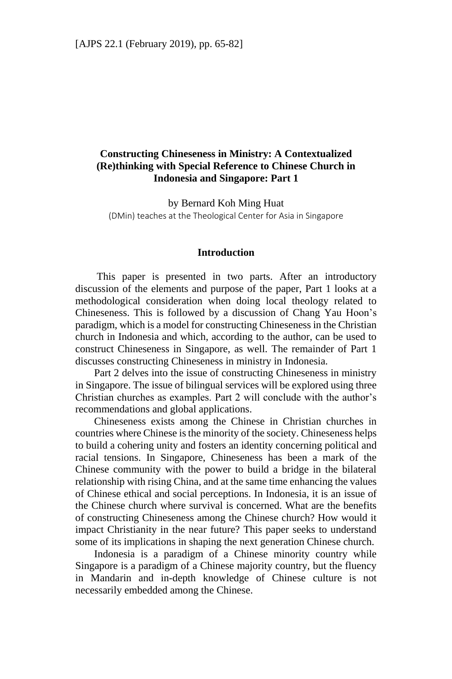# **Constructing Chineseness in Ministry: A Contextualized (Re)thinking with Special Reference to Chinese Church in Indonesia and Singapore: Part 1**

by Bernard Koh Ming Huat (DMin) teaches at the Theological Center for Asia in Singapore

### **Introduction**

This paper is presented in two parts. After an introductory discussion of the elements and purpose of the paper, Part 1 looks at a methodological consideration when doing local theology related to Chineseness. This is followed by a discussion of Chang Yau Hoon's paradigm, which is a model for constructing Chineseness in the Christian church in Indonesia and which, according to the author, can be used to construct Chineseness in Singapore, as well. The remainder of Part 1 discusses constructing Chineseness in ministry in Indonesia.

Part 2 delves into the issue of constructing Chineseness in ministry in Singapore. The issue of bilingual services will be explored using three Christian churches as examples. Part 2 will conclude with the author's recommendations and global applications.

Chineseness exists among the Chinese in Christian churches in countries where Chinese is the minority of the society. Chineseness helps to build a cohering unity and fosters an identity concerning political and racial tensions. In Singapore, Chineseness has been a mark of the Chinese community with the power to build a bridge in the bilateral relationship with rising China, and at the same time enhancing the values of Chinese ethical and social perceptions. In Indonesia, it is an issue of the Chinese church where survival is concerned. What are the benefits of constructing Chineseness among the Chinese church? How would it impact Christianity in the near future? This paper seeks to understand some of its implications in shaping the next generation Chinese church.

Indonesia is a paradigm of a Chinese minority country while Singapore is a paradigm of a Chinese majority country, but the fluency in Mandarin and in-depth knowledge of Chinese culture is not necessarily embedded among the Chinese.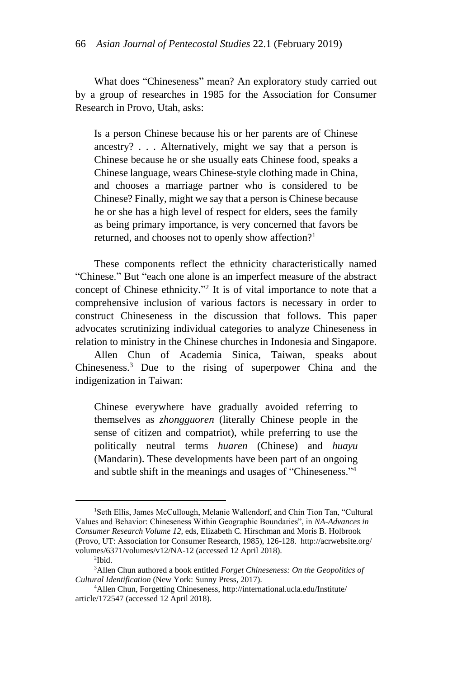What does "Chineseness" mean? An exploratory study carried out by a group of researches in 1985 for the Association for Consumer Research in Provo, Utah, asks:

Is a person Chinese because his or her parents are of Chinese ancestry? . . . Alternatively, might we say that a person is Chinese because he or she usually eats Chinese food, speaks a Chinese language, wears Chinese-style clothing made in China, and chooses a marriage partner who is considered to be Chinese? Finally, might we say that a person is Chinese because he or she has a high level of respect for elders, sees the family as being primary importance, is very concerned that favors be returned, and chooses not to openly show affection?<sup>1</sup>

These components reflect the ethnicity characteristically named "Chinese." But "each one alone is an imperfect measure of the abstract concept of Chinese ethnicity." 2 It is of vital importance to note that a comprehensive inclusion of various factors is necessary in order to construct Chineseness in the discussion that follows. This paper advocates scrutinizing individual categories to analyze Chineseness in relation to ministry in the Chinese churches in Indonesia and Singapore.

Allen Chun of Academia Sinica, Taiwan, speaks about Chineseness.<sup>3</sup> Due to the rising of superpower China and the indigenization in Taiwan:

Chinese everywhere have gradually avoided referring to themselves as *zhongguoren* (literally Chinese people in the sense of citizen and compatriot), while preferring to use the politically neutral terms *huaren* (Chinese) and *huayu*  (Mandarin). These developments have been part of an ongoing and subtle shift in the meanings and usages of "Chineseness."<sup>4</sup>

<sup>&</sup>lt;sup>1</sup>Seth Ellis, James McCullough, Melanie Wallendorf, and Chin Tion Tan, "Cultural Values and Behavior: Chineseness Within Geographic Boundaries", in *NA-Advances in Consumer Research Volume 12*, eds, Elizabeth C. Hirschman and Moris B. Holbrook (Provo, UT: Association for Consumer Research, 1985), 126-128. http://acrwebsite.org/ volumes/6371/volumes/v12/NA-12 (accessed 12 April 2018).

<sup>&</sup>lt;sup>2</sup>Ibid.

<sup>3</sup>Allen Chun authored a book entitled *Forget Chineseness: On the Geopolitics of Cultural Identification* (New York: Sunny Press, 2017).

<sup>4</sup>Allen Chun, Forgetting Chineseness, http://international.ucla.edu/Institute/ article/172547 (accessed 12 April 2018).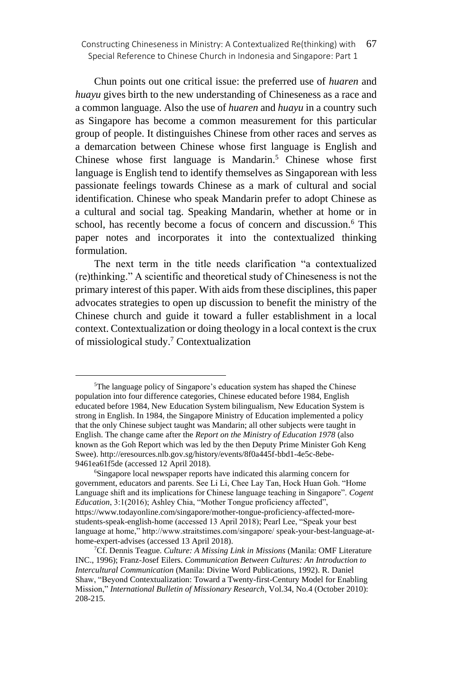Chun points out one critical issue: the preferred use of *huaren* and *huayu* gives birth to the new understanding of Chineseness as a race and a common language. Also the use of *huaren* and *huayu* in a country such as Singapore has become a common measurement for this particular group of people. It distinguishes Chinese from other races and serves as a demarcation between Chinese whose first language is English and Chinese whose first language is Mandarin.<sup>5</sup> Chinese whose first language is English tend to identify themselves as Singaporean with less passionate feelings towards Chinese as a mark of cultural and social identification. Chinese who speak Mandarin prefer to adopt Chinese as a cultural and social tag. Speaking Mandarin, whether at home or in school, has recently become a focus of concern and discussion.<sup>6</sup> This paper notes and incorporates it into the contextualized thinking formulation.

The next term in the title needs clarification "a contextualized (re)thinking." A scientific and theoretical study of Chineseness is not the primary interest of this paper. With aids from these disciplines, this paper advocates strategies to open up discussion to benefit the ministry of the Chinese church and guide it toward a fuller establishment in a local context. Contextualization or doing theology in a local context is the crux of missiological study.<sup>7</sup> Contextualization

<sup>&</sup>lt;sup>5</sup>The language policy of Singapore's education system has shaped the Chinese population into four difference categories, Chinese educated before 1984, English educated before 1984, New Education System bilingualism, New Education System is strong in English. In 1984, the Singapore Ministry of Education implemented a policy that the only Chinese subject taught was Mandarin; all other subjects were taught in English. The change came after the *Report on the Ministry of Education 1978* (also known as the Goh Report which was led by the then Deputy Prime Minister Goh Keng Swee). http://eresources.nlb.gov.sg/history/events/8f0a445f-bbd1-4e5c-8ebe-9461ea61f5de (accessed 12 April 2018).

<sup>6</sup>Singapore local newspaper reports have indicated this alarming concern for government, educators and parents. See Li Li, Chee Lay Tan, Hock Huan Goh. "Home Language shift and its implications for Chinese language teaching in Singapore". *Cogent Education*, 3:1(2016); Ashley Chia, "Mother Tongue proficiency affected", https://www.todayonline.com/singapore/mother-tongue-proficiency-affected-morestudents-speak-english-home (accessed 13 April 2018); Pearl Lee, "Speak your best language at home," http://www.straitstimes.com/singapore/ speak-your-best-language-athome-expert-advises (accessed 13 April 2018).

<sup>7</sup>Cf. Dennis Teague. *Culture: A Missing Link in Missions* (Manila: OMF Literature INC., 1996); Franz-Josef Eilers. *Communication Between Cultures: An Introduction to Intercultural Communication* (Manila: Divine Word Publications, 1992). R. Daniel Shaw, "Beyond Contextualization: Toward a Twenty-first-Century Model for Enabling Mission," *International Bulletin of Missionary Research*, Vol.34, No.4 (October 2010): 208-215.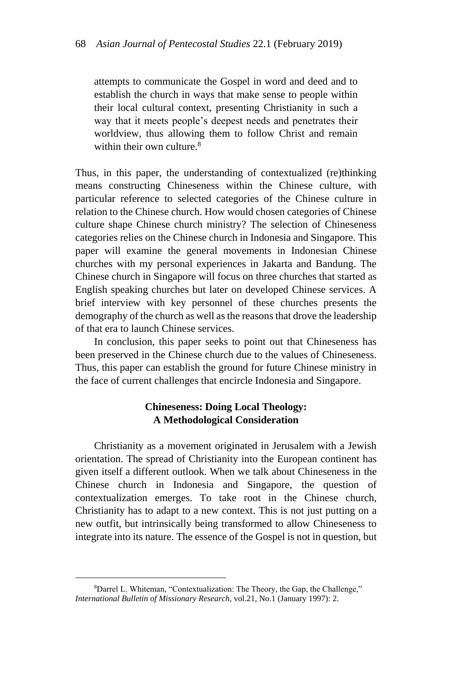attempts to communicate the Gospel in word and deed and to establish the church in ways that make sense to people within their local cultural context, presenting Christianity in such a way that it meets people's deepest needs and penetrates their worldview, thus allowing them to follow Christ and remain within their own culture.<sup>8</sup>

Thus, in this paper, the understanding of contextualized (re)thinking means constructing Chineseness within the Chinese culture, with particular reference to selected categories of the Chinese culture in relation to the Chinese church. How would chosen categories of Chinese culture shape Chinese church ministry? The selection of Chineseness categories relies on the Chinese church in Indonesia and Singapore. This paper will examine the general movements in Indonesian Chinese churches with my personal experiences in Jakarta and Bandung. The Chinese church in Singapore will focus on three churches that started as English speaking churches but later on developed Chinese services. A brief interview with key personnel of these churches presents the demography of the church as well as the reasons that drove the leadership of that era to launch Chinese services.

In conclusion, this paper seeks to point out that Chineseness has been preserved in the Chinese church due to the values of Chineseness. Thus, this paper can establish the ground for future Chinese ministry in the face of current challenges that encircle Indonesia and Singapore.

## **Chineseness: Doing Local Theology: A Methodological Consideration**

Christianity as a movement originated in Jerusalem with a Jewish orientation. The spread of Christianity into the European continent has given itself a different outlook. When we talk about Chineseness in the Chinese church in Indonesia and Singapore, the question of contextualization emerges. To take root in the Chinese church, Christianity has to adapt to a new context. This is not just putting on a new outfit, but intrinsically being transformed to allow Chineseness to integrate into its nature. The essence of the Gospel is not in question, but

<sup>8</sup>Darrel L. Whiteman, "Contextualization: The Theory, the Gap, the Challenge," *International Bulletin of Missionary Research*, vol.21, No.1 (January 1997): 2.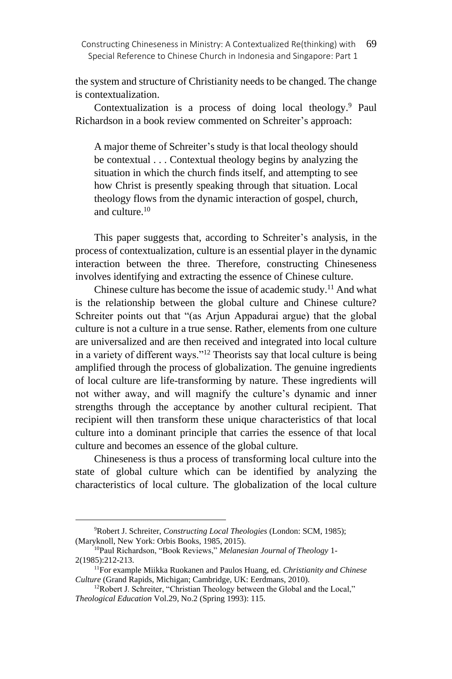the system and structure of Christianity needs to be changed. The change is contextualization.

Contextualization is a process of doing local theology.<sup>9</sup> Paul Richardson in a book review commented on Schreiter's approach:

A major theme of Schreiter's study is that local theology should be contextual . . . Contextual theology begins by analyzing the situation in which the church finds itself, and attempting to see how Christ is presently speaking through that situation. Local theology flows from the dynamic interaction of gospel, church, and culture.<sup>10</sup>

This paper suggests that, according to Schreiter's analysis, in the process of contextualization, culture is an essential player in the dynamic interaction between the three. Therefore, constructing Chineseness involves identifying and extracting the essence of Chinese culture.

Chinese culture has become the issue of academic study.<sup>11</sup> And what is the relationship between the global culture and Chinese culture? Schreiter points out that "(as Arjun Appadurai argue) that the global culture is not a culture in a true sense. Rather, elements from one culture are universalized and are then received and integrated into local culture in a variety of different ways."<sup>12</sup> Theorists say that local culture is being amplified through the process of globalization. The genuine ingredients of local culture are life-transforming by nature. These ingredients will not wither away, and will magnify the culture's dynamic and inner strengths through the acceptance by another cultural recipient. That recipient will then transform these unique characteristics of that local culture into a dominant principle that carries the essence of that local culture and becomes an essence of the global culture.

Chineseness is thus a process of transforming local culture into the state of global culture which can be identified by analyzing the characteristics of local culture. The globalization of the local culture

<sup>9</sup>Robert J. Schreiter, *Constructing Local Theologies* (London: SCM, 1985); (Maryknoll, New York: Orbis Books, 1985, 2015).

<sup>10</sup>Paul Richardson, "Book Reviews," *Melanesian Journal of Theology* 1- 2(1985):212-213.

<sup>11</sup>For example Miikka Ruokanen and Paulos Huang, ed. *Christianity and Chinese Culture* (Grand Rapids, Michigan; Cambridge, UK: Eerdmans, 2010).

<sup>&</sup>lt;sup>12</sup>Robert J. Schreiter, "Christian Theology between the Global and the Local," *Theological Education* Vol.29, No.2 (Spring 1993): 115.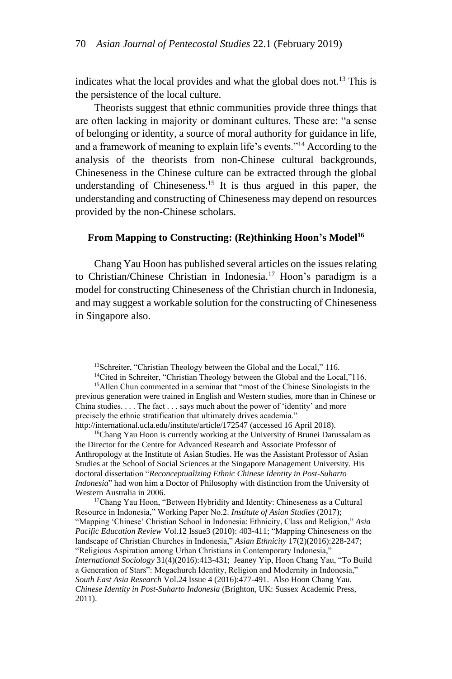indicates what the local provides and what the global does not.<sup>13</sup> This is the persistence of the local culture.

Theorists suggest that ethnic communities provide three things that are often lacking in majority or dominant cultures. These are: "a sense of belonging or identity, a source of moral authority for guidance in life, and a framework of meaning to explain life's events."<sup>14</sup> According to the analysis of the theorists from non-Chinese cultural backgrounds, Chineseness in the Chinese culture can be extracted through the global understanding of Chineseness.<sup>15</sup> It is thus argued in this paper, the understanding and constructing of Chineseness may depend on resources provided by the non-Chinese scholars.

#### **From Mapping to Constructing: (Re)thinking Hoon's Model<sup>16</sup>**

Chang Yau Hoon has published several articles on the issues relating to Christian/Chinese Christian in Indonesia.<sup>17</sup> Hoon's paradigm is a model for constructing Chineseness of the Christian church in Indonesia, and may suggest a workable solution for the constructing of Chineseness in Singapore also.

<sup>&</sup>lt;sup>13</sup>Schreiter, "Christian Theology between the Global and the Local," 116.

<sup>&</sup>lt;sup>14</sup>Cited in Schreiter, "Christian Theology between the Global and the Local,"116.

<sup>&</sup>lt;sup>15</sup>Allen Chun commented in a seminar that "most of the Chinese Sinologists in the previous generation were trained in English and Western studies, more than in Chinese or China studies. . . . The fact . . . says much about the power of 'identity' and more precisely the ethnic stratification that ultimately drives academia." http://international.ucla.edu/institute/article/172547 (accessed 16 April 2018).

<sup>&</sup>lt;sup>16</sup>Chang Yau Hoon is currently working at the University of Brunei Darussalam as the Director for the Centre for Advanced Research and Associate Professor of Anthropology at the Institute of Asian Studies. He was the Assistant Professor of Asian Studies at the School of Social Sciences at the Singapore Management University. His doctoral dissertation "*Reconceptualizing Ethnic Chinese Identity in Post-Suharto Indonesia*" had won him a Doctor of Philosophy with distinction from the University of Western Australia in 2006.

<sup>&</sup>lt;sup>17</sup>Chang Yau Hoon, "Between Hybridity and Identity: Chineseness as a Cultural Resource in Indonesia," Working Paper No.2. *Institute of Asian Studies* (2017); "Mapping 'Chinese' Christian School in Indonesia: Ethnicity, Class and Religion," *Asia Pacific Education Review* Vol.12 Issue3 (2010): 403-411; "Mapping Chineseness on the landscape of Christian Churches in Indonesia," *Asian Ethnicity* 17(2)(2016):228-247; "Religious Aspiration among Urban Christians in Contemporary Indonesia," *International Sociology* 31(4)(2016):413-431; Jeaney Yip, Hoon Chang Yau, "To Build a Generation of Stars": Megachurch Identity, Religion and Modernity in Indonesia," *South East Asia Research* Vol.24 Issue 4 (2016):477-491. Also Hoon Chang Yau. *Chinese Identity in Post-Suharto Indonesia* (Brighton, UK: Sussex Academic Press, 2011).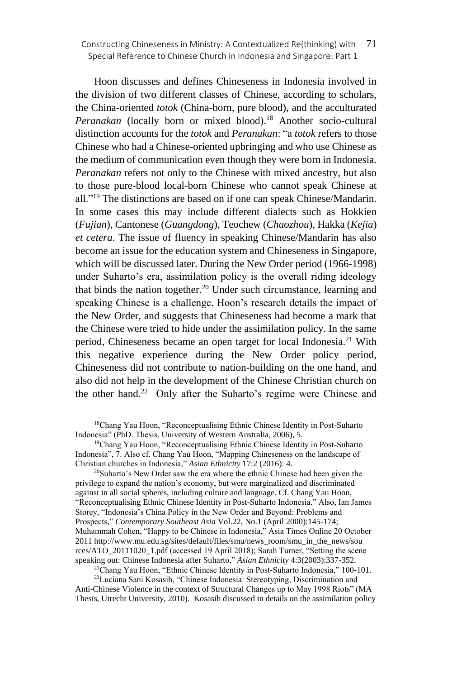Hoon discusses and defines Chineseness in Indonesia involved in the division of two different classes of Chinese, according to scholars, the China-oriented *totok* (China-born, pure blood), and the acculturated Peranakan (locally born or mixed blood).<sup>18</sup> Another socio-cultural distinction accounts for the *totok* and *Peranakan*: "a *totok* refers to those Chinese who had a Chinese-oriented upbringing and who use Chinese as the medium of communication even though they were born in Indonesia. *Peranakan* refers not only to the Chinese with mixed ancestry, but also to those pure-blood local-born Chinese who cannot speak Chinese at all."<sup>19</sup> The distinctions are based on if one can speak Chinese/Mandarin. In some cases this may include different dialects such as Hokkien (*Fujian*), Cantonese (*Guangdong*), Teochew (*Chaozhou*), Hakka (*Kejia*) *et cetera*. The issue of fluency in speaking Chinese/Mandarin has also become an issue for the education system and Chineseness in Singapore, which will be discussed later. During the New Order period (1966-1998) under Suharto's era, assimilation policy is the overall riding ideology that binds the nation together. $20$  Under such circumstance, learning and speaking Chinese is a challenge. Hoon's research details the impact of the New Order, and suggests that Chineseness had become a mark that the Chinese were tried to hide under the assimilation policy. In the same period, Chineseness became an open target for local Indonesia.<sup>21</sup> With this negative experience during the New Order policy period, Chineseness did not contribute to nation-building on the one hand, and also did not help in the development of the Chinese Christian church on the other hand.<sup>22</sup> Only after the Suharto's regime were Chinese and

<sup>20</sup>Suharto's New Order saw the era where the ethnic Chinese had been given the privilege to expand the nation's economy, but were marginalized and discriminated against in all social spheres, including culture and language. Cf. Chang Yau Hoon, "Reconceptualising Ethnic Chinese Identity in Post-Suharto Indonesia." Also, Ian James Storey, "Indonesia's China Policy in the New Order and Beyond: Problems and Prospects," *Contemporary Southeast Asia* Vol.22, No.1 (April 2000):145-174; Muhammah Cohen, "Happy to be Chinese in Indonesia," Asia Times Online 20 October 2011 http://www.mu.edu.sg/sites/default/files/smu/news\_room/smu\_in\_the\_news/sou rces/ATO\_20111020\_1.pdf (accessed 19 April 2018); Sarah Turner, "Setting the scene speaking out: Chinese Indonesia after Suharto," *Asian Ethnicity* 4:3(2003):337-352.

<sup>21</sup>Chang Yau Hoon, "Ethnic Chinese Identity in Post-Suharto Indonesia," 100-101.

<sup>22</sup>Luciana Sani Kosasih, "Chinese Indonesia: Stereotyping, Discrimination and Anti-Chinese Violence in the context of Structural Changes up to May 1998 Riots" (MA Thesis, Utrecht University, 2010). Kosasih discussed in details on the assimilation policy

<sup>&</sup>lt;sup>18</sup>Chang Yau Hoon, "Reconceptualising Ethnic Chinese Identity in Post-Suharto Indonesia" (PhD. Thesis, University of Western Australia, 2006), 5.

<sup>&</sup>lt;sup>19</sup>Chang Yau Hoon, "Reconceptualising Ethnic Chinese Identity in Post-Suharto Indonesia", 7. Also cf. Chang Yau Hoon, "Mapping Chineseness on the landscape of Christian churches in Indonesia," *Asian Ethnicity* 17:2 (2016): 4.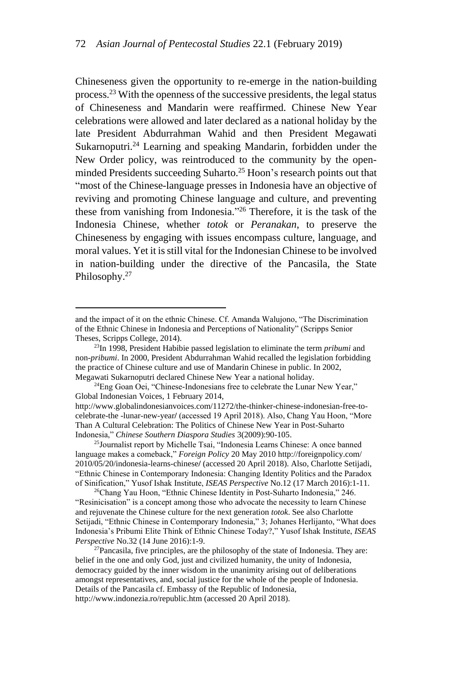Chineseness given the opportunity to re-emerge in the nation-building process.<sup>23</sup> With the openness of the successive presidents, the legal status of Chineseness and Mandarin were reaffirmed. Chinese New Year celebrations were allowed and later declared as a national holiday by the late President Abdurrahman Wahid and then President Megawati Sukarnoputri.<sup>24</sup> Learning and speaking Mandarin, forbidden under the New Order policy, was reintroduced to the community by the openminded Presidents succeeding Suharto.<sup>25</sup> Hoon's research points out that "most of the Chinese-language presses in Indonesia have an objective of reviving and promoting Chinese language and culture, and preventing these from vanishing from Indonesia." <sup>26</sup> Therefore, it is the task of the Indonesia Chinese, whether *totok* or *Peranakan*, to preserve the Chineseness by engaging with issues encompass culture, language, and moral values. Yet it is still vital for the Indonesian Chinese to be involved in nation-building under the directive of the Pancasila, the State Philosophy.<sup>27</sup>

<sup>24</sup>Eng Goan Oei, "Chinese-Indonesians free to celebrate the Lunar New Year," Global Indonesian Voices, 1 February 2014, http://www.globalindonesianvoices.com/11272/the-thinker-chinese-indonesian-free-tocelebrate-the -lunar-new-year**/** (accessed 19 April 2018). Also, Chang Yau Hoon, "More

<sup>25</sup>Journalist report by Michelle Tsai, "Indonesia Learns Chinese: A once banned language makes a comeback," *Foreign Policy* 20 May 2010 http://foreignpolicy.com/ 2010/05/20/indonesia-learns-chinese**/** (accessed 20 April 2018). Also, Charlotte Setijadi, "Ethnic Chinese in Contemporary Indonesia: Changing Identity Politics and the Paradox of Sinification," Yusof Ishak Institute, *ISEAS Perspective* No.12 (17 March 2016):1-11.

<sup>26</sup>Chang Yau Hoon, "Ethnic Chinese Identity in Post-Suharto Indonesia," 246. "Resinicisation" is a concept among those who advocate the necessity to learn Chinese and rejuvenate the Chinese culture for the next generation *totok*. See also Charlotte Setijadi, "Ethnic Chinese in Contemporary Indonesia," 3; Johanes Herlijanto, "What does Indonesia's Pribumi Elite Think of Ethnic Chinese Today?," Yusof Ishak Institute, *ISEAS Perspective* No.32 (14 June 2016):1-9.

<sup>27</sup>Pancasila, five principles, are the philosophy of the state of Indonesia. They are: belief in the one and only God, just and civilized humanity, the unity of Indonesia, democracy guided by the inner wisdom in the unanimity arising out of deliberations amongst representatives, and, social justice for the whole of the people of Indonesia. Details of the Pancasila cf. Embassy of the Republic of Indonesia, http://www.indonezia.ro/republic.htm (accessed 20 April 2018).

and the impact of it on the ethnic Chinese. Cf. Amanda Walujono, "The Discrimination of the Ethnic Chinese in Indonesia and Perceptions of Nationality" (Scripps Senior Theses, Scripps College, 2014).

<sup>23</sup>In 1998, President Habibie passed legislation to eliminate the term *pribumi* and non-*pribumi*. In 2000, President Abdurrahman Wahid recalled the legislation forbidding the practice of Chinese culture and use of Mandarin Chinese in public. In 2002, Megawati Sukarnoputri declared Chinese New Year a national holiday.

Than A Cultural Celebration: The Politics of Chinese New Year in Post-Suharto Indonesia," *Chinese Southern Diaspora Studies* 3(2009):90-105.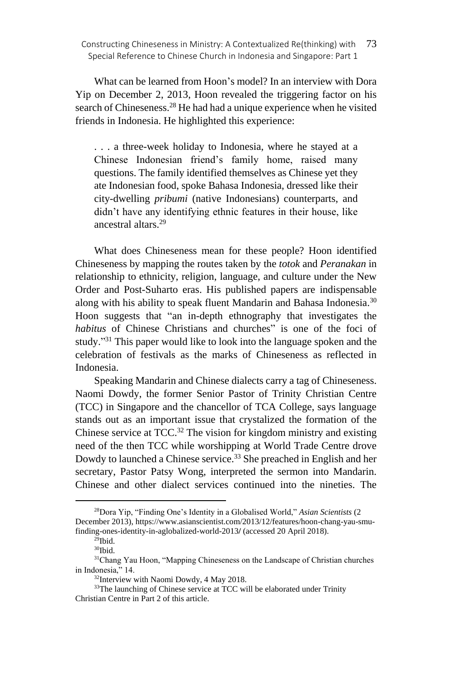What can be learned from Hoon's model? In an interview with Dora Yip on December 2, 2013, Hoon revealed the triggering factor on his search of Chineseness.<sup>28</sup> He had had a unique experience when he visited friends in Indonesia. He highlighted this experience:

. . . a three-week holiday to Indonesia, where he stayed at a Chinese Indonesian friend's family home, raised many questions. The family identified themselves as Chinese yet they ate Indonesian food, spoke Bahasa Indonesia, dressed like their city-dwelling *pribumi* (native Indonesians) counterparts, and didn't have any identifying ethnic features in their house, like ancestral altars<sup>29</sup>

What does Chineseness mean for these people? Hoon identified Chineseness by mapping the routes taken by the *totok* and *Peranakan* in relationship to ethnicity, religion, language, and culture under the New Order and Post-Suharto eras. His published papers are indispensable along with his ability to speak fluent Mandarin and Bahasa Indonesia.<sup>30</sup> Hoon suggests that "an in-depth ethnography that investigates the *habitus* of Chinese Christians and churches" is one of the foci of study."<sup>31</sup> This paper would like to look into the language spoken and the celebration of festivals as the marks of Chineseness as reflected in Indonesia.

Speaking Mandarin and Chinese dialects carry a tag of Chineseness. Naomi Dowdy, the former Senior Pastor of Trinity Christian Centre (TCC) in Singapore and the chancellor of TCA College, says language stands out as an important issue that crystalized the formation of the Chinese service at  $TCC$ .<sup>32</sup> The vision for kingdom ministry and existing need of the then TCC while worshipping at World Trade Centre drove Dowdy to launched a Chinese service.<sup>33</sup> She preached in English and her secretary, Pastor Patsy Wong, interpreted the sermon into Mandarin. Chinese and other dialect services continued into the nineties. The

<sup>28</sup>Dora Yip, "Finding One's Identity in a Globalised World," *Asian Scientists* (2 December 2013), https://www.asianscientist.com/2013/12/features/hoon-chang-yau-smufinding-ones-identity-in-aglobalized-world-2013**/** (accessed 20 April 2018).

 $^{29}$ Ibid.

 $\rm{^{30}Ibid.}$ 

<sup>31</sup>Chang Yau Hoon, "Mapping Chineseness on the Landscape of Christian churches in Indonesia," 14.

<sup>32</sup>Interview with Naomi Dowdy, 4 May 2018.

<sup>&</sup>lt;sup>33</sup>The launching of Chinese service at TCC will be elaborated under Trinity Christian Centre in Part 2 of this article.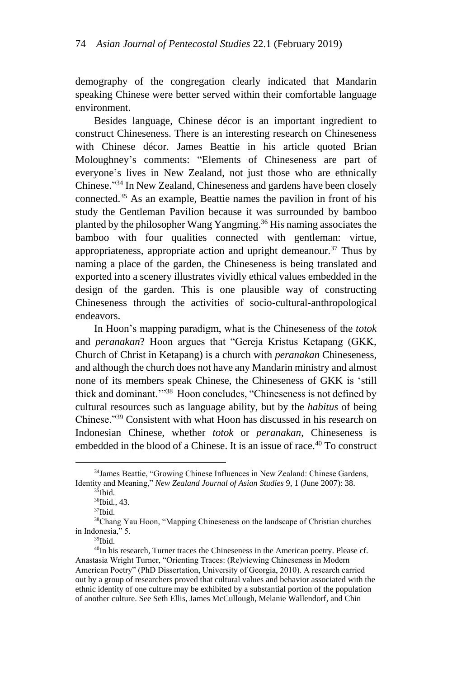demography of the congregation clearly indicated that Mandarin speaking Chinese were better served within their comfortable language environment.

Besides language, Chinese décor is an important ingredient to construct Chineseness. There is an interesting research on Chineseness with Chinese décor. James Beattie in his article quoted Brian Moloughney's comments: "Elements of Chineseness are part of everyone's lives in New Zealand, not just those who are ethnically Chinese." <sup>34</sup> In New Zealand, Chineseness and gardens have been closely connected.<sup>35</sup> As an example, Beattie names the pavilion in front of his study the Gentleman Pavilion because it was surrounded by bamboo planted by the philosopher Wang Yangming.<sup>36</sup> His naming associates the bamboo with four qualities connected with gentleman: virtue, appropriateness, appropriate action and upright demeanour.<sup>37</sup> Thus by naming a place of the garden, the Chineseness is being translated and exported into a scenery illustrates vividly ethical values embedded in the design of the garden. This is one plausible way of constructing Chineseness through the activities of socio-cultural-anthropological endeavors.

In Hoon's mapping paradigm, what is the Chineseness of the *totok* and *peranakan*? Hoon argues that "Gereja Kristus Ketapang (GKK, Church of Christ in Ketapang) is a church with *peranakan* Chineseness, and although the church does not have any Mandarin ministry and almost none of its members speak Chinese, the Chineseness of GKK is 'still thick and dominant."<sup>38</sup> Hoon concludes, "Chineseness is not defined by cultural resources such as language ability, but by the *habitus* of being Chinese."<sup>39</sup> Consistent with what Hoon has discussed in his research on Indonesian Chinese, whether *totok* or *peranakan*, Chineseness is embedded in the blood of a Chinese. It is an issue of race.<sup>40</sup> To construct

<sup>34</sup>James Beattie, "Growing Chinese Influences in New Zealand: Chinese Gardens, Identity and Meaning," *New Zealand Journal of Asian Studies* 9, 1 (June 2007): 38.

 $35$ Ibid.

<sup>&</sup>lt;sup>36</sup>Ibid., 43.

<sup>37</sup>Ibid.

<sup>38</sup>Chang Yau Hoon, "Mapping Chineseness on the landscape of Christian churches in Indonesia," 5.

<sup>39</sup>Ibid.

<sup>40</sup>In his research, Turner traces the Chineseness in the American poetry. Please cf. Anastasia Wright Turner, "Orienting Traces: (Re)viewing Chineseness in Modern American Poetry" (PhD Dissertation, University of Georgia, 2010). A research carried out by a group of researchers proved that cultural values and behavior associated with the ethnic identity of one culture may be exhibited by a substantial portion of the population of another culture. See Seth Ellis, James McCullough, Melanie Wallendorf, and Chin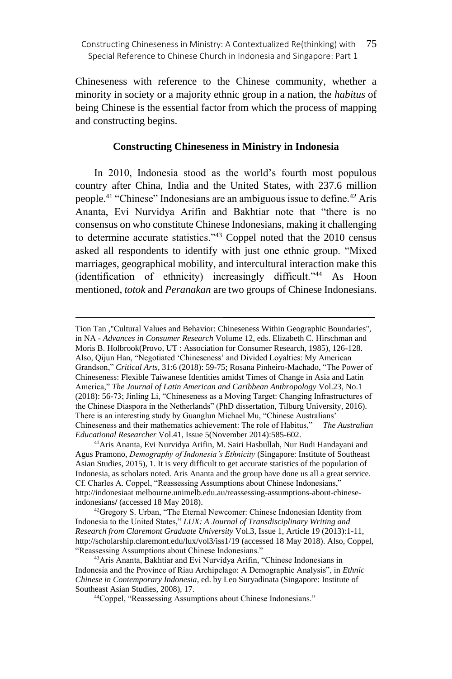Chineseness with reference to the Chinese community, whether a minority in society or a majority ethnic group in a nation, the *habitus* of being Chinese is the essential factor from which the process of mapping and constructing begins.

### **Constructing Chineseness in Ministry in Indonesia**

In 2010, Indonesia stood as the world's fourth most populous country after China, India and the United States, with 237.6 million people.<sup>41</sup> "Chinese" Indonesians are an ambiguous issue to define.<sup>42</sup> Aris Ananta, Evi Nurvidya Arifin and Bakhtiar note that "there is no consensus on who constitute Chinese Indonesians, making it challenging to determine accurate statistics."<sup>43</sup> Coppel noted that the 2010 census asked all respondents to identify with just one ethnic group. "Mixed marriages, geographical mobility, and intercultural interaction make this (identification of ethnicity) increasingly difficult."<sup>44</sup> As Hoon mentioned, *totok* and *Peranakan* are two groups of Chinese Indonesians.

Tion Tan ,"Cultural Values and Behavior: Chineseness Within Geographic Boundaries", in NA - *Advances in Consumer Research* Volume 12, eds. Elizabeth C. Hirschman and Moris B. Holbrook(Provo, UT : Association for Consumer Research, 1985), 126-128. Also, Qijun Han, "Negotiated 'Chineseness' and Divided Loyalties: My American Grandson," *Critical Arts*, 31:6 (2018): 59-75; Rosana Pinheiro-Machado, "The Power of Chineseness: Flexible Taiwanese Identities amidst Times of Change in Asia and Latin America," *The Journal of Latin American and Caribbean Anthropology* Vol.23, No.1 (2018): 56-73; Jinling Li, "Chineseness as a Moving Target: Changing Infrastructures of the Chinese Diaspora in the Netherlands" (PhD dissertation, Tilburg University, 2016). There is an interesting study by Guanglun Michael Mu, "Chinese Australians' Chineseness and their mathematics achievement: The role of Habitus," *The Australian Educational Researcher* Vol.41, Issue 5(November 2014):585-602.

<sup>41</sup>Aris Ananta, Evi Nurvidya Arifin, M. Sairi Hasbullah, Nur Budi Handayani and Agus Pramono, *Demography of Indonesia's Ethnicity* (Singapore: Institute of Southeast Asian Studies, 2015), 1. It is very difficult to get accurate statistics of the population of Indonesia, as scholars noted. Aris Ananta and the group have done us all a great service. Cf. Charles A. Coppel, "Reassessing Assumptions about Chinese Indonesians," http://indonesiaat melbourne.unimelb.edu.au/reassessing-assumptions-about-chineseindonesians**/** (accessed 18 May 2018).

<sup>&</sup>lt;sup>42</sup>Gregory S. Urban, "The Eternal Newcomer: Chinese Indonesian Identity from Indonesia to the United States," *LUX: A Journal of Transdisciplinary Writing and Research from Claremont Graduate University* Vol.3, Issue 1, Article 19 (2013):1-11, http://scholarship.claremont.edu/lux/vol3/iss1/19 (accessed 18 May 2018). Also, Coppel, "Reassessing Assumptions about Chinese Indonesians."

<sup>43</sup>Aris Ananta, Bakhtiar and Evi Nurvidya Arifin, "Chinese Indonesians in Indonesia and the Province of Riau Archipelago: A Demographic Analysis", in *Ethnic Chinese in Contemporary Indonesia*, ed. by Leo Suryadinata (Singapore: Institute of Southeast Asian Studies, 2008), 17.

<sup>44</sup>Coppel, "Reassessing Assumptions about Chinese Indonesians."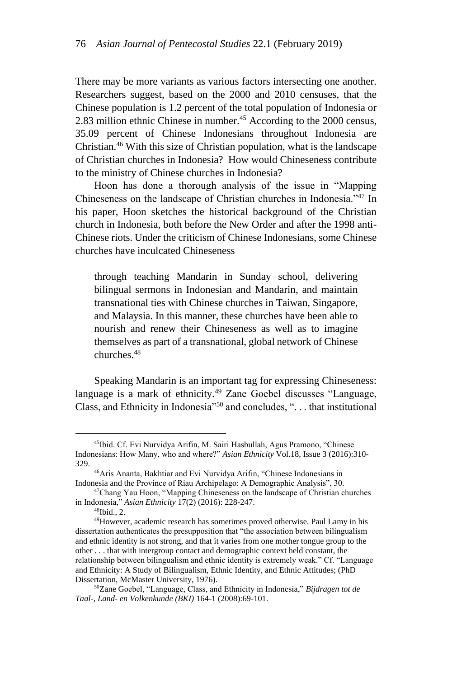There may be more variants as various factors intersecting one another. Researchers suggest, based on the 2000 and 2010 censuses, that the Chinese population is 1.2 percent of the total population of Indonesia or 2.83 million ethnic Chinese in number.<sup>45</sup> According to the 2000 census, 35.09 percent of Chinese Indonesians throughout Indonesia are Christian.<sup>46</sup> With this size of Christian population, what is the landscape of Christian churches in Indonesia? How would Chineseness contribute to the ministry of Chinese churches in Indonesia?

Hoon has done a thorough analysis of the issue in "Mapping Chineseness on the landscape of Christian churches in Indonesia."<sup>47</sup> In his paper, Hoon sketches the historical background of the Christian church in Indonesia, both before the New Order and after the 1998 anti-Chinese riots. Under the criticism of Chinese Indonesians, some Chinese churches have inculcated Chineseness

through teaching Mandarin in Sunday school, delivering bilingual sermons in Indonesian and Mandarin, and maintain transnational ties with Chinese churches in Taiwan, Singapore, and Malaysia. In this manner, these churches have been able to nourish and renew their Chineseness as well as to imagine themselves as part of a transnational, global network of Chinese churches.<sup>48</sup>

Speaking Mandarin is an important tag for expressing Chineseness: language is a mark of ethnicity.<sup>49</sup> Zane Goebel discusses "Language, Class, and Ethnicity in Indonesia"<sup>50</sup> and concludes, ". . . that institutional

<sup>45</sup>Ibid. Cf. Evi Nurvidya Arifin, M. Sairi Hasbullah, Agus Pramono, "Chinese Indonesians: How Many, who and where?" *Asian Ethnicity* Vol.18, Issue 3 (2016):310- 329.

<sup>46</sup>Aris Ananta, Bakhtiar and Evi Nurvidya Arifin, "Chinese Indonesians in Indonesia and the Province of Riau Archipelago: A Demographic Analysis", 30.

<sup>47</sup>Chang Yau Hoon, "Mapping Chineseness on the landscape of Christian churches in Indonesia," *Asian Ethnicity* 17(2) (2016): 228-247.

<sup>48</sup>Ibid., 2.

<sup>49</sup>However, academic research has sometimes proved otherwise. Paul Lamy in his dissertation authenticates the presupposition that "the association between bilingualism and ethnic identity is not strong, and that it varies from one mother tongue group to the other . . . that with intergroup contact and demographic context held constant, the relationship between bilingualism and ethnic identity is extremely weak." Cf. "Language and Ethnicity: A Study of Bilingualism, Ethnic Identity, and Ethnic Attitudes; (PhD Dissertation, McMaster University, 1976).

<sup>50</sup>Zane Goebel, "Language, Class, and Ethnicity in Indonesia," *Bijdragen tot de Taal-, Land- en Volkenkunde (BKI)* 164-1 (2008):69-101.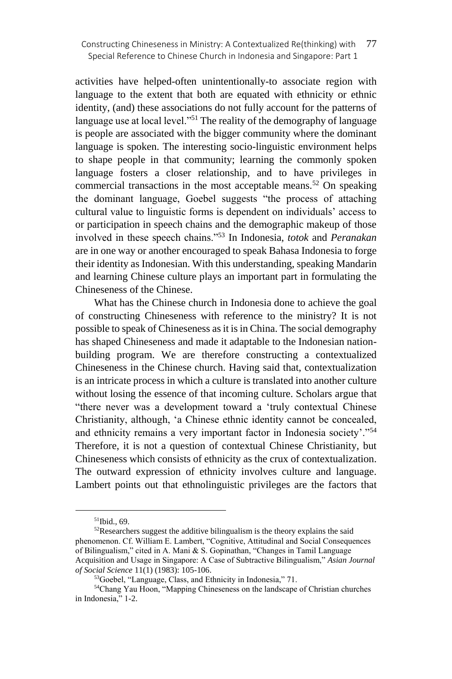activities have helped-often unintentionally-to associate region with language to the extent that both are equated with ethnicity or ethnic identity, (and) these associations do not fully account for the patterns of language use at local level."<sup>51</sup> The reality of the demography of language is people are associated with the bigger community where the dominant language is spoken. The interesting socio-linguistic environment helps to shape people in that community; learning the commonly spoken language fosters a closer relationship, and to have privileges in commercial transactions in the most acceptable means.<sup>52</sup> On speaking the dominant language, Goebel suggests "the process of attaching cultural value to linguistic forms is dependent on individuals' access to or participation in speech chains and the demographic makeup of those involved in these speech chains."<sup>53</sup> In Indonesia, *totok* and *Peranakan* are in one way or another encouraged to speak Bahasa Indonesia to forge their identity as Indonesian. With this understanding, speaking Mandarin and learning Chinese culture plays an important part in formulating the Chineseness of the Chinese.

What has the Chinese church in Indonesia done to achieve the goal of constructing Chineseness with reference to the ministry? It is not possible to speak of Chineseness as it is in China. The social demography has shaped Chineseness and made it adaptable to the Indonesian nationbuilding program. We are therefore constructing a contextualized Chineseness in the Chinese church. Having said that, contextualization is an intricate process in which a culture is translated into another culture without losing the essence of that incoming culture. Scholars argue that "there never was a development toward a 'truly contextual Chinese Christianity, although, 'a Chinese ethnic identity cannot be concealed, and ethnicity remains a very important factor in Indonesia society'."<sup>54</sup> Therefore, it is not a question of contextual Chinese Christianity, but Chineseness which consists of ethnicity as the crux of contextualization. The outward expression of ethnicity involves culture and language. Lambert points out that ethnolinguistic privileges are the factors that

<sup>51</sup>Ibid., 69.

<sup>&</sup>lt;sup>52</sup>Researchers suggest the additive bilingualism is the theory explains the said phenomenon. Cf. William E. Lambert, "Cognitive, Attitudinal and Social Consequences of Bilingualism," cited in A. Mani & S. Gopinathan, "Changes in Tamil Language Acquisition and Usage in Singapore: A Case of Subtractive Bilingualism," *Asian Journal of Social Science* 11(1) (1983): 105-106.

<sup>53</sup>Goebel, "Language, Class, and Ethnicity in Indonesia," 71.

<sup>54</sup>Chang Yau Hoon, "Mapping Chineseness on the landscape of Christian churches in Indonesia," 1-2.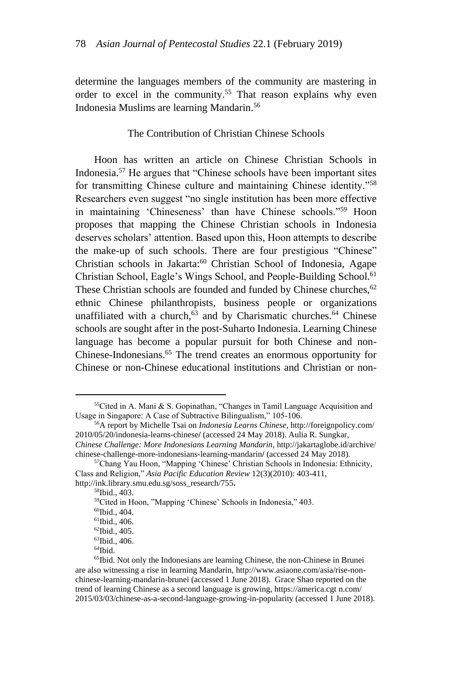determine the languages members of the community are mastering in order to excel in the community.<sup>55</sup> That reason explains why even Indonesia Muslims are learning Mandarin.<sup>56</sup>

#### The Contribution of Christian Chinese Schools

Hoon has written an article on Chinese Christian Schools in Indonesia.<sup>57</sup> He argues that "Chinese schools have been important sites for transmitting Chinese culture and maintaining Chinese identity."<sup>58</sup> Researchers even suggest "no single institution has been more effective in maintaining 'Chineseness' than have Chinese schools."<sup>59</sup> Hoon proposes that mapping the Chinese Christian schools in Indonesia deserves scholars' attention. Based upon this, Hoon attempts to describe the make-up of such schools. There are four prestigious "Chinese" Christian schools in Jakarta:<sup>60</sup> Christian School of Indonesia, Agape Christian School, Eagle's Wings School, and People-Building School.<sup>61</sup> These Christian schools are founded and funded by Chinese churches, <sup>62</sup> ethnic Chinese philanthropists, business people or organizations unaffiliated with a church, $63$  and by Charismatic churches.<sup>64</sup> Chinese schools are sought after in the post-Suharto Indonesia. Learning Chinese language has become a popular pursuit for both Chinese and non-Chinese-Indonesians.<sup>65</sup> The trend creates an enormous opportunity for Chinese or non-Chinese educational institutions and Christian or non-

<sup>55</sup>Cited in A. Mani & S. Gopinathan, "Changes in Tamil Language Acquisition and Usage in Singapore: A Case of Subtractive Bilingualism," 105-106.

<sup>56</sup>A report by Michelle Tsai on *Indonesia Learns Chinese,* http://foreignpolicy.com/ 2010/05/20/indonesia-learns-chinese**/** (accessed 24 May 2018). Aulia R. Sungkar,

*Chinese Challenge: More Indonesians Learning Mandarin,* http://jakartaglobe.id/archive/ chinese-challenge-more-indonesians-learning-mandarin**/** (accessed 24 May 2018).

<sup>57</sup>Chang Yau Hoon, "Mapping 'Chinese' Christian Schools in Indonesia: Ethnicity, Class and Religion," *Asia Pacific Education Review* 12(3)(2010): 403-411, http://ink.library.smu.edu.sg/soss\_research/755**.**

<sup>58</sup>Ibid., 403.

<sup>59</sup>Cited in Hoon, "Mapping 'Chinese' Schools in Indonesia," 403.

<sup>60</sup>Ibid., 404.

 $61$ Ibid., 406.

 $62$ Ibid., 405.

<sup>63</sup>Ibid., 406.

 $64$ Ibid.

<sup>&</sup>lt;sup>65</sup>Ibid. Not only the Indonesians are learning Chinese, the non-Chinese in Brunei are also witnessing a rise in learning Mandarin[, http://www.asiaone.com/asia/rise-non](http://www.asiaone.com/asia/rise-non-chinese-learning-mandarin-brunei)[chinese-learning-mandarin-brunei](http://www.asiaone.com/asia/rise-non-chinese-learning-mandarin-brunei) (accessed 1 June 2018). Grace Shao reported on the trend of learning Chinese as a second language is growing, https://america.cgt n.com/ 2015/03/03/chinese-as-a-second-language-growing-in-popularity (accessed 1 June 2018).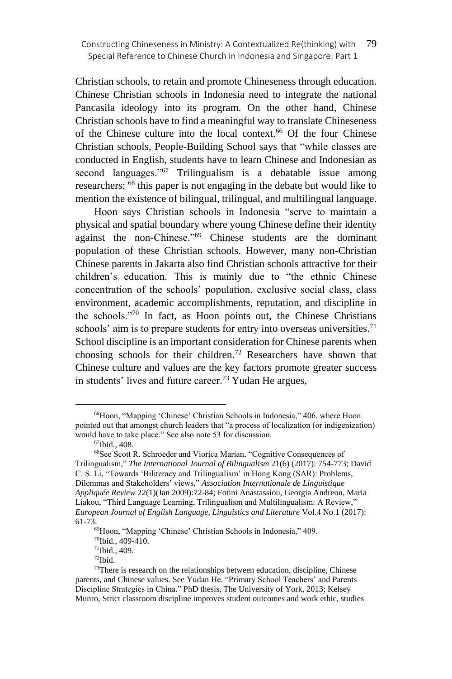Christian schools, to retain and promote Chineseness through education. Chinese Christian schools in Indonesia need to integrate the national Pancasila ideology into its program. On the other hand, Chinese Christian schools have to find a meaningful way to translate Chineseness of the Chinese culture into the local context.<sup>66</sup> Of the four Chinese Christian schools, People-Building School says that "while classes are conducted in English, students have to learn Chinese and Indonesian as second languages."<sup>67</sup> Trilingualism is a debatable issue among researchers; <sup>68</sup> this paper is not engaging in the debate but would like to mention the existence of bilingual, trilingual, and multilingual language.

Hoon says Christian schools in Indonesia "serve to maintain a physical and spatial boundary where young Chinese define their identity against the non-Chinese."<sup>69</sup> Chinese students are the dominant population of these Christian schools. However, many non-Christian Chinese parents in Jakarta also find Christian schools attractive for their children's education. This is mainly due to "the ethnic Chinese concentration of the schools' population, exclusive social class, class environment, academic accomplishments, reputation, and discipline in the schools."<sup>70</sup> In fact, as Hoon points out, the Chinese Christians schools' aim is to prepare students for entry into overseas universities.<sup>71</sup> School discipline is an important consideration for Chinese parents when choosing schools for their children.<sup>72</sup> Researchers have shown that Chinese culture and values are the key factors promote greater success in students' lives and future career.<sup>73</sup> Yudan He argues,

<sup>66</sup>Hoon, "Mapping 'Chinese' Christian Schools in Indonesia," 406, where Hoon pointed out that amongst church leaders that "a process of localization (or indigenization) would have to take place." See also note 53 for discussion.

<sup>67</sup>Ibid., 408.

<sup>68</sup>See Scott R. Schroeder and Viorica Marian, "Cognitive Consequences of Trilingualism," *The International Journal of Bilingualism* 21(6) (2017): 754-773; David C. S. Li, "Towards 'Biliteracy and Trilingualism' in Hong Kong (SAR): Problems, Dilemmas and Stakeholders' views," *Association Internationale de Linguistique Appliquée Review* 22(1)(Jan 2009):72-84; Fotini Anastassiou, Georgia Andreou, Maria Liakou, "Third Language Learning, Trilingualism and Multilingualism: A Review," *European Journal of English Language, Linguistics and Literature* Vol.4 No.1 (2017): 61-73.

<sup>69</sup>Hoon, "Mapping 'Chinese' Christian Schools in Indonesia," 409.

<sup>70</sup>Ibid., 409-410.

<sup>71</sup>Ibid., 409.

<sup>72</sup>Ibid.

<sup>&</sup>lt;sup>73</sup>There is research on the relationships between education, discipline, Chinese parents, and Chinese values. See Yudan He. "Primary School Teachers' and Parents Discipline Strategies in China." PhD thesis, The University of York, 2013; Kelsey Munro, Strict classroom discipline improves student outcomes and work ethic, studies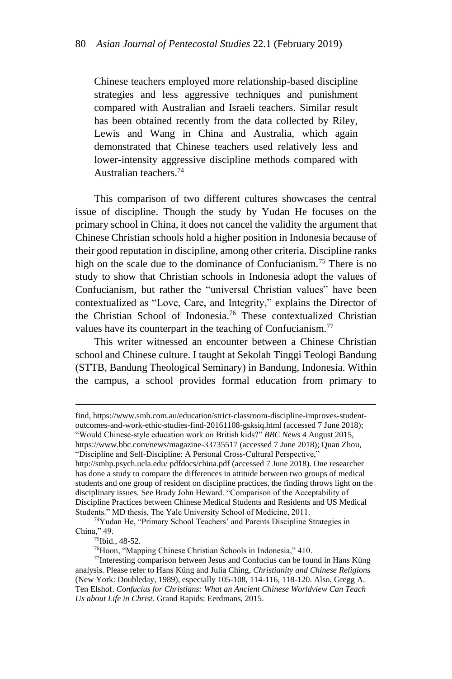Chinese teachers employed more relationship-based discipline strategies and less aggressive techniques and punishment compared with Australian and Israeli teachers. Similar result has been obtained recently from the data collected by Riley, Lewis and Wang in China and Australia, which again demonstrated that Chinese teachers used relatively less and lower-intensity aggressive discipline methods compared with Australian teachers.<sup>74</sup>

This comparison of two different cultures showcases the central issue of discipline. Though the study by Yudan He focuses on the primary school in China, it does not cancel the validity the argument that Chinese Christian schools hold a higher position in Indonesia because of their good reputation in discipline, among other criteria. Discipline ranks high on the scale due to the dominance of Confucianism.<sup>75</sup> There is no study to show that Christian schools in Indonesia adopt the values of Confucianism, but rather the "universal Christian values" have been contextualized as "Love, Care, and Integrity," explains the Director of the Christian School of Indonesia.<sup>76</sup> These contextualized Christian values have its counterpart in the teaching of Confucianism.<sup>77</sup>

This writer witnessed an encounter between a Chinese Christian school and Chinese culture. I taught at Sekolah Tinggi Teologi Bandung (STTB, Bandung Theological Seminary) in Bandung, Indonesia. Within the campus, a school provides formal education from primary to

find, https://www.smh.com.au/education/strict-classroom-discipline-improves-studentoutcomes-and-work-ethic-studies-find-20161108-gsksiq.html (accessed 7 June 2018); "Would Chinese-style education work on British kids?" *BBC News* 4 August 2015, <https://www.bbc.com/news/magazine-33735517> (accessed 7 June 2018); Quan Zhou, "Discipline and Self-Discipline: A Personal Cross-Cultural Perspective," http://smhp.psych.ucla.edu[/ pdfdocs/china.pdf](http://smhp.psych.ucla.edu/pdfdocs/china.pdf) (accessed 7 June 2018). One researcher has done a study to compare the differences in attitude between two groups of medical students and one group of resident on discipline practices, the finding throws light on the disciplinary issues. See Brady John Heward. "Comparison of the Acceptability of Discipline Practices between Chinese Medical Students and Residents and US Medical Students." MD thesis, The Yale University School of Medicine, 2011.

<sup>&</sup>lt;sup>74</sup>Yudan He, "Primary School Teachers' and Parents Discipline Strategies in China," 49.

<sup>75</sup>Ibid., 48-52.

<sup>76</sup>Hoon, "Mapping Chinese Christian Schools in Indonesia," 410.

<sup>77</sup>Interesting comparison between Jesus and Confucius can be found in Hans Küng analysis. Please refer to Hans Küng and Julia Ching, *Christianity and Chinese Religions* (New York: Doubleday, 1989), especially 105-108, 114-116, 118-120. Also, Gregg A. Ten Elshof. *Confucius for Christians: What an Ancient Chinese Worldview Can Teach Us about Life in Christ.* Grand Rapids: Eerdmans, 2015.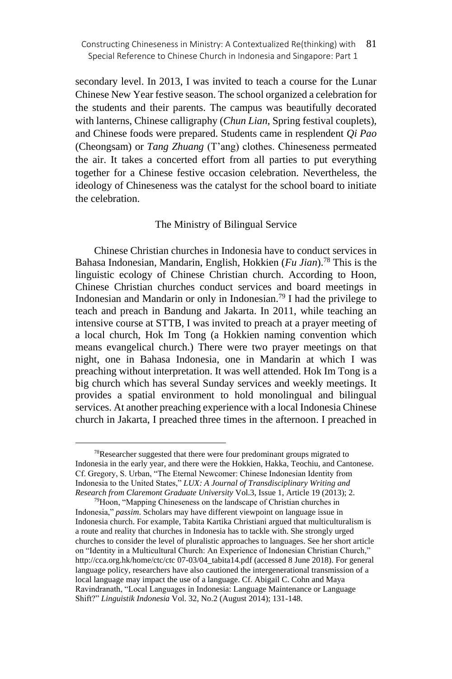secondary level. In 2013, I was invited to teach a course for the Lunar Chinese New Year festive season. The school organized a celebration for the students and their parents. The campus was beautifully decorated with lanterns, Chinese calligraphy (*Chun Lian*, Spring festival couplets), and Chinese foods were prepared. Students came in resplendent *Qi Pao* (Cheongsam) or *Tang Zhuang* (T'ang) clothes. Chineseness permeated the air. It takes a concerted effort from all parties to put everything together for a Chinese festive occasion celebration. Nevertheless, the ideology of Chineseness was the catalyst for the school board to initiate the celebration.

#### The Ministry of Bilingual Service

Chinese Christian churches in Indonesia have to conduct services in Bahasa Indonesian, Mandarin, English, Hokkien (*Fu Jian*).<sup>78</sup> This is the linguistic ecology of Chinese Christian church. According to Hoon, Chinese Christian churches conduct services and board meetings in Indonesian and Mandarin or only in Indonesian.<sup>79</sup> I had the privilege to teach and preach in Bandung and Jakarta. In 2011, while teaching an intensive course at STTB, I was invited to preach at a prayer meeting of a local church, Hok Im Tong (a Hokkien naming convention which means evangelical church.) There were two prayer meetings on that night, one in Bahasa Indonesia, one in Mandarin at which I was preaching without interpretation. It was well attended. Hok Im Tong is a big church which has several Sunday services and weekly meetings. It provides a spatial environment to hold monolingual and bilingual services. At another preaching experience with a local Indonesia Chinese church in Jakarta, I preached three times in the afternoon. I preached in

 $78$ Researcher suggested that there were four predominant groups migrated to Indonesia in the early year, and there were the Hokkien, Hakka, Teochiu, and Cantonese. Cf. Gregory, S. Urban, "The Eternal Newcomer: Chinese Indonesian Identity from Indonesia to the United States," *LUX: A Journal of Transdisciplinary Writing and Research from Claremont Graduate University* Vol.3, Issue 1, Article 19 (2013); 2.

<sup>79</sup>Hoon, "Mapping Chineseness on the landscape of Christian churches in Indonesia," *passim*. Scholars may have different viewpoint on language issue in Indonesia church. For example, Tabita Kartika Christiani argued that multiculturalism is a route and reality that churches in Indonesia has to tackle with. She strongly urged churches to consider the level of pluralistic approaches to languages. See her short article on "Identity in a Multicultural Church: An Experience of Indonesian Christian Church," http://cca.org.hk/home/ctc/ct[c 07-03/04\\_tabita14.pdf](http://cca.org.hk/home/ctc/ctc07-03/04_tabita14.pdf) (accessed 8 June 2018). For general language policy, researchers have also cautioned the intergenerational transmission of a local language may impact the use of a language. Cf. Abigail C. Cohn and Maya Ravindranath, "Local Languages in Indonesia: Language Maintenance or Language Shift?" *Linguistik Indonesia* Vol. 32, No.2 (August 2014); 131-148.